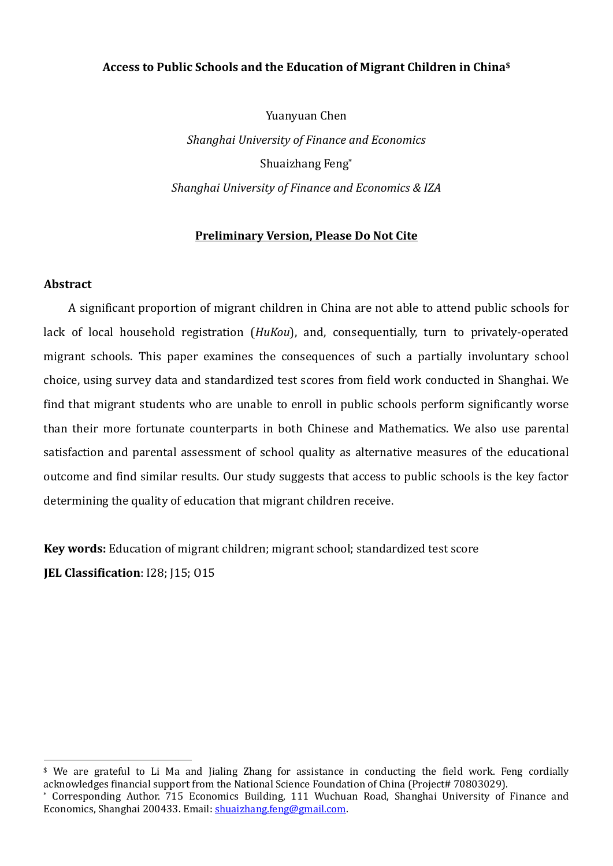# **Access to Public Schools and the Education of Migrant Children in China\$**

Yuanyuan Chen *Shanghai University of Finance and Economics* Shuaizhang Feng\* *Shanghai University of Finance and Economics & IZA*

# **Preliminary Version, Please Do Not Cite**

# **Abstract**

A significant proportion of migrant children in China are not able to attend public schools for lack of local household registration (*HuKou*), and, consequentially, turn to privately‐operated migrant schools. This paper examines the consequences of such a partially involuntary school choice, using survey data and standardized test scores from field work conducted in Shanghai. We find that migrant students who are unable to enroll in public schools perform significantly worse than their more fortunate counterparts in both Chinese and Mathematics. We also use parental satisfaction and parental assessment of school quality as alternative measures of the educational outcome and find similar results. Our study suggests that access to public schools is the key factor determining the quality of education that migrant children receive.

**Key words:** Education of migrant children; migrant school; standardized test score **JEL Classification**: I28; J15; O15

 $$$  We are grateful to Li Ma and Iialing Zhang for assistance in conducting the field work. Feng cordially acknowledges financial support from the National Science Foundation of China (Project# 70803029).

<sup>\*</sup> Corresponding Author. 715 Economics Building, 111 Wuchuan Road, Shanghai University of Finance and Economics, Shanghai 200433. Email: shuaizhang.feng@gmail.com.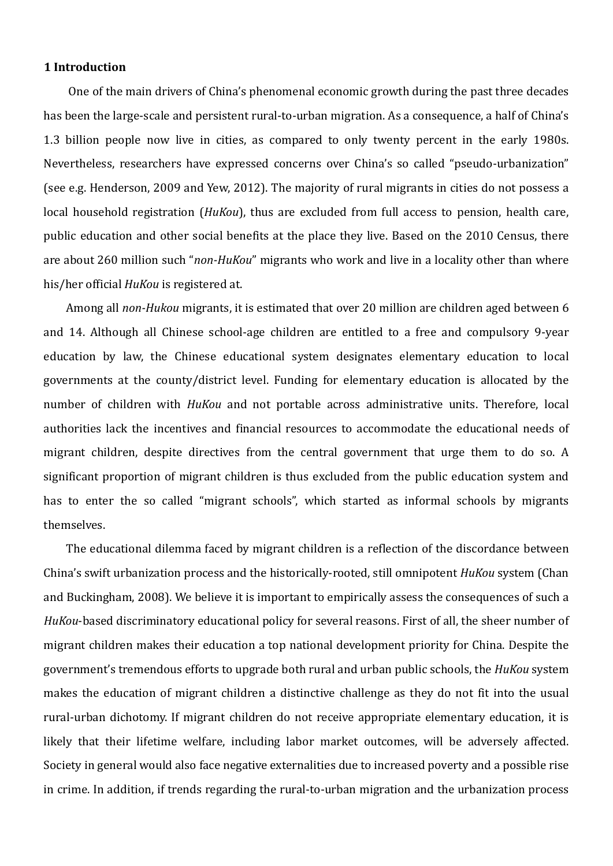## **1 Introduction**

One of the main drivers of China's phenomenal economic growth during the past three decades has been the large-scale and persistent rural-to-urban migration. As a consequence, a half of China's 1.3 billion people now live in cities, as compared to only twenty percent in the early 1980s. Nevertheless, researchers have expressed concerns over China's so called "pseudo‐urbanization" (see e.g. Henderson, 2009 and Yew, 2012). The majority of rural migrants in cities do not possess a local household registration (*HuKou*), thus are excluded from full access to pension, health care, public education and other social benefits at the place they live. Based on the 2010 Census, there are about 260 million such "*nonHuKou*" migrants who work and live in a locality other than where his/her official *HuKou* is registered at.

Among all *nonHukou* migrants, it is estimated that over 20 million are children aged between 6 and 14. Although all Chinese school-age children are entitled to a free and compulsory 9-year education by law, the Chinese educational system designates elementary education to local governments at the county/district level. Funding for elementary education is allocated by the number of children with *HuKou* and not portable across administrative units. Therefore, local authorities lack the incentives and financial resources to accommodate the educational needs of migrant children, despite directives from the central government that urge them to do so. A significant proportion of migrant children is thus excluded from the public education system and has to enter the so called "migrant schools", which started as informal schools by migrants themselves.

The educational dilemma faced by migrant children is a reflection of the discordance between China's swift urbanization process and the historically‐rooted, still omnipotent *HuKou* system (Chan and Buckingham, 2008). We believe it is important to empirically assess the consequences of such a *HuKou*‐based discriminatory educational policy for several reasons. First of all, the sheer number of migrant children makes their education a top national development priority for China. Despite the government's tremendous efforts to upgrade both rural and urban public schools, the *HuKou* system makes the education of migrant children a distinctive challenge as they do not fit into the usual rural‐urban dichotomy. If migrant children do not receive appropriate elementary education, it is likely that their lifetime welfare, including labor market outcomes, will be adversely affected. Society in general would also face negative externalities due to increased poverty and a possible rise in crime. In addition, if trends regarding the rural-to-urban migration and the urbanization process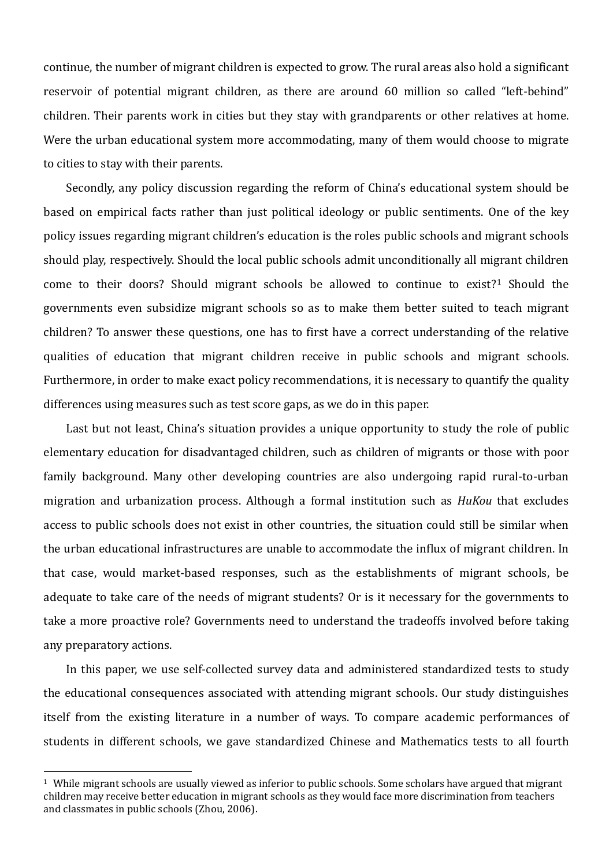continue, the number of migrant children is expected to grow. The rural areas also hold a significant reservoir of potential migrant children, as there are around 60 million so called "left‐behind" children. Their parents work in cities but they stay with grandparents or other relatives at home. Were the urban educational system more accommodating, many of them would choose to migrate to cities to stay with their parents.

Secondly, any policy discussion regarding the reform of China's educational system should be based on empirical facts rather than just political ideology or public sentiments. One of the key policy issues regarding migrant children's education is the roles public schools and migrant schools should play, respectively. Should the local public schools admit unconditionally all migrant children come to their doors? Should migrant schools be allowed to continue to exist?1 Should the governments even subsidize migrant schools so as to make them better suited to teach migrant children? To answer these questions, one has to first have a correct understanding of the relative qualities of education that migrant children receive in public schools and migrant schools. Furthermore, in order to make exact policy recommendations, it is necessary to quantify the quality differences using measures such as test score gaps, as we do in this paper.

Last but not least, China's situation provides a unique opportunity to study the role of public elementary education for disadvantaged children, such as children of migrants or those with poor family background. Many other developing countries are also undergoing rapid rural-to-urban migration and urbanization process. Although a formal institution such as *HuKou* that excludes access to public schools does not exist in other countries, the situation could still be similar when the urban educational infrastructures are unable to accommodate the influx of migrant children. In that case, would market‐based responses, such as the establishments of migrant schools, be adequate to take care of the needs of migrant students? Or is it necessary for the governments to take a more proactive role? Governments need to understand the tradeoffs involved before taking any preparatory actions.

In this paper, we use self-collected survey data and administered standardized tests to study the educational consequences associated with attending migrant schools. Our study distinguishes itself from the existing literature in a number of ways. To compare academic performances of students in different schools, we gave standardized Chinese and Mathematics tests to all fourth

<sup>1</sup> While migrant schools are usually viewed as inferior to public schools. Some scholars have argued that migrant children may receive better education in migrant schools as they would face more discrimination from teachers and classmates in public schools (Zhou, 2006).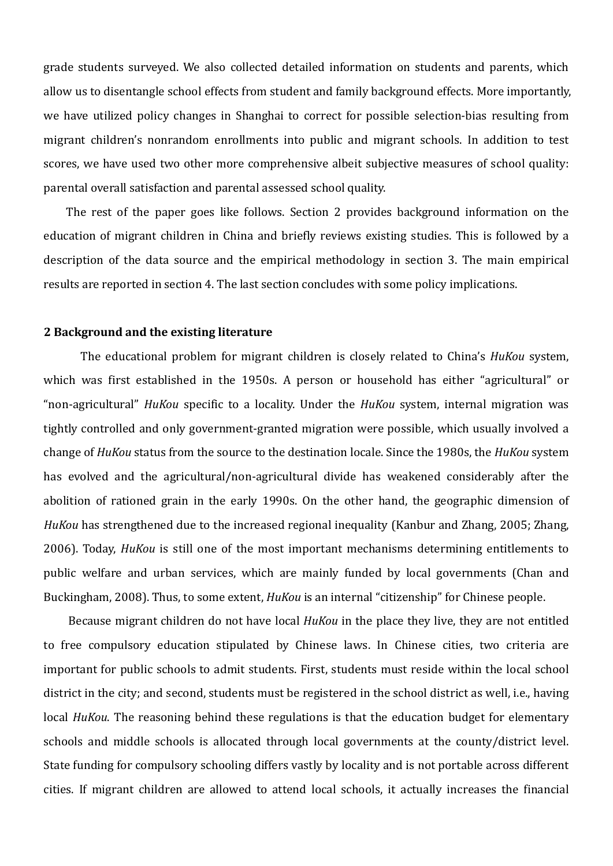grade students surveyed. We also collected detailed information on students and parents, which allow us to disentangle school effects from student and family background effects. More importantly, we have utilized policy changes in Shanghai to correct for possible selection-bias resulting from migrant children's nonrandom enrollments into public and migrant schools. In addition to test scores, we have used two other more comprehensive albeit subjective measures of school quality: parental overall satisfaction and parental assessed school quality.

The rest of the paper goes like follows. Section 2 provides background information on the education of migrant children in China and briefly reviews existing studies. This is followed by a description of the data source and the empirical methodology in section 3. The main empirical results are reported in section 4. The last section concludes with some policy implications.

## **2 Background and the existing literature**

The educational problem for migrant children is closely related to China's *HuKou* system, which was first established in the 1950s. A person or household has either "agricultural" or "non-agricultural" *HuKou* specific to a locality. Under the *HuKou* system, internal migration was tightly controlled and only government‐granted migration were possible, which usually involved a change of *HuKou* status from the source to the destination locale. Since the 1980s, the *HuKou* system has evolved and the agricultural/non-agricultural divide has weakened considerably after the abolition of rationed grain in the early 1990s. On the other hand, the geographic dimension of *HuKou* has strengthened due to the increased regional inequality (Kanbur and Zhang, 2005; Zhang, 2006). Today, *HuKou* is still one of the most important mechanisms determining entitlements to public welfare and urban services, which are mainly funded by local governments (Chan and Buckingham, 2008). Thus, to some extent, *HuKou* is an internal "citizenship" for Chinese people.

Because migrant children do not have local *HuKou* in the place they live, they are not entitled to free compulsory education stipulated by Chinese laws. In Chinese cities, two criteria are important for public schools to admit students. First, students must reside within the local school district in the city; and second, students must be registered in the school district as well, i.e., having local *HuKou*. The reasoning behind these regulations is that the education budget for elementary schools and middle schools is allocated through local governments at the county/district level. State funding for compulsory schooling differs vastly by locality and is not portable across different cities. If migrant children are allowed to attend local schools, it actually increases the financial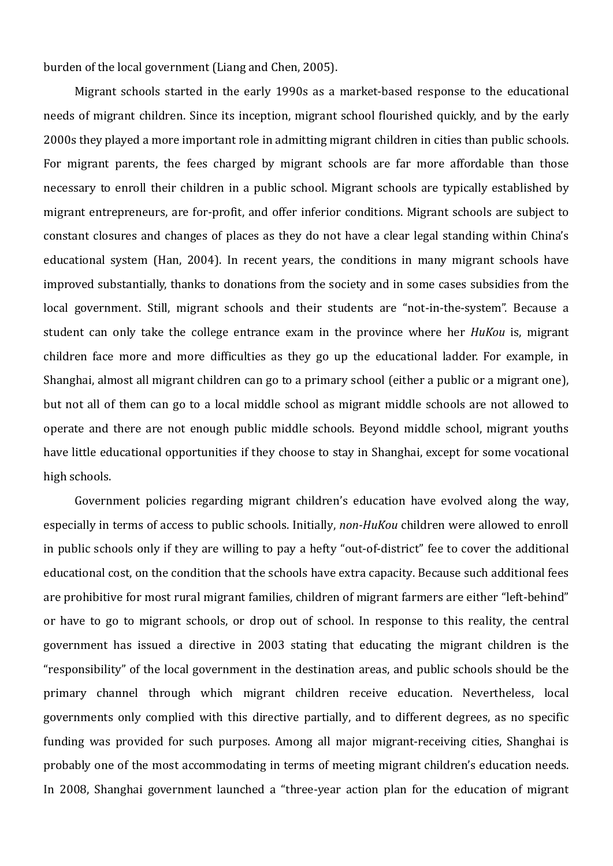burden of the local government (Liang and Chen, 2005).

Migrant schools started in the early 1990s as a market-based response to the educational needs of migrant children. Since its inception, migrant school flourished quickly, and by the early 2000s they played a more important role in admitting migrant children in cities than public schools. For migrant parents, the fees charged by migrant schools are far more affordable than those necessary to enroll their children in a public school. Migrant schools are typically established by migrant entrepreneurs, are for‐profit, and offer inferior conditions. Migrant schools are subject to constant closures and changes of places as they do not have a clear legal standing within China's educational system (Han, 2004). In recent years, the conditions in many migrant schools have improved substantially, thanks to donations from the society and in some cases subsidies from the local government. Still, migrant schools and their students are "not-in-the-system". Because a student can only take the college entrance exam in the province where her *HuKou* is, migrant children face more and more difficulties as they go up the educational ladder. For example, in Shanghai, almost all migrant children can go to a primary school (either a public or a migrant one), but not all of them can go to a local middle school as migrant middle schools are not allowed to operate and there are not enough public middle schools. Beyond middle school, migrant youths have little educational opportunities if they choose to stay in Shanghai, except for some vocational high schools.

 Government policies regarding migrant children's education have evolved along the way, especially in terms of access to public schools. Initially, *nonHuKou* children were allowed to enroll in public schools only if they are willing to pay a hefty "out‐of‐district" fee to cover the additional educational cost, on the condition that the schools have extra capacity. Because such additional fees are prohibitive for most rural migrant families, children of migrant farmers are either "left‐behind" or have to go to migrant schools, or drop out of school. In response to this reality, the central government has issued a directive in 2003 stating that educating the migrant children is the "responsibility" of the local government in the destination areas, and public schools should be the primary channel through which migrant children receive education. Nevertheless, local governments only complied with this directive partially, and to different degrees, as no specific funding was provided for such purposes. Among all major migrant‐receiving cities, Shanghai is probably one of the most accommodating in terms of meeting migrant children's education needs. In 2008, Shanghai government launched a "three-year action plan for the education of migrant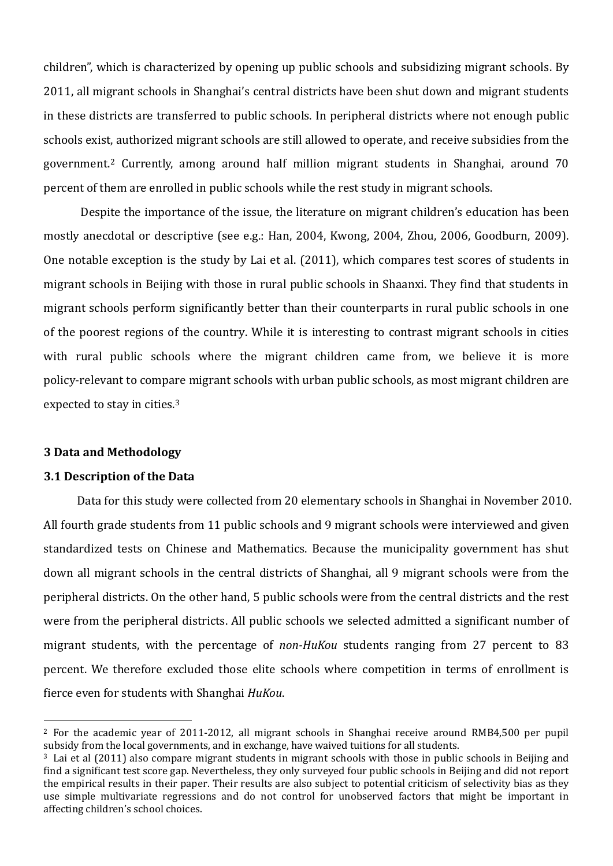children", which is characterized by opening up public schools and subsidizing migrant schools. By 2011, all migrant schools in Shanghai's central districts have been shut down and migrant students in these districts are transferred to public schools. In peripheral districts where not enough public schools exist, authorized migrant schools are still allowed to operate, and receive subsidies from the government.2 Currently, among around half million migrant students in Shanghai, around 70 percent of them are enrolled in public schools while the rest study in migrant schools.

 Despite the importance of the issue, the literature on migrant children's education has been mostly anecdotal or descriptive (see e.g.: Han, 2004, Kwong, 2004, Zhou, 2006, Goodburn, 2009). One notable exception is the study by Lai et al. (2011), which compares test scores of students in migrant schools in Beijing with those in rural public schools in Shaanxi. They find that students in migrant schools perform significantly better than their counterparts in rural public schools in one of the poorest regions of the country. While it is interesting to contrast migrant schools in cities with rural public schools where the migrant children came from, we believe it is more policy‐relevant to compare migrant schools with urban public schools, as most migrant children are expected to stay in cities.3

#### **3 Data and Methodology**

#### **3.1 Description of the Data**

Data for this study were collected from 20 elementary schools in Shanghai in November 2010. All fourth grade students from 11 public schools and 9 migrant schools were interviewed and given standardized tests on Chinese and Mathematics. Because the municipality government has shut down all migrant schools in the central districts of Shanghai, all 9 migrant schools were from the peripheral districts. On the other hand, 5 public schools were from the central districts and the rest were from the peripheral districts. All public schools we selected admitted a significant number of migrant students, with the percentage of *non-HuKou* students ranging from 27 percent to 83 percent. We therefore excluded those elite schools where competition in terms of enrollment is fierce even for students with Shanghai *HuKou*.

<sup>2</sup> For the academic year of 2011‐2012, all migrant schools in Shanghai receive around RMB4,500 per pupil subsidy from the local governments, and in exchange, have waived tuitions for all students.

<sup>3</sup> Lai et al (2011) also compare migrant students in migrant schools with those in public schools in Beijing and find a significant test score gap. Nevertheless, they only surveyed four public schools in Beijing and did not report the empirical results in their paper. Their results are also subject to potential criticism of selectivity bias as they use simple multivariate regressions and do not control for unobserved factors that might be important in affecting children's school choices.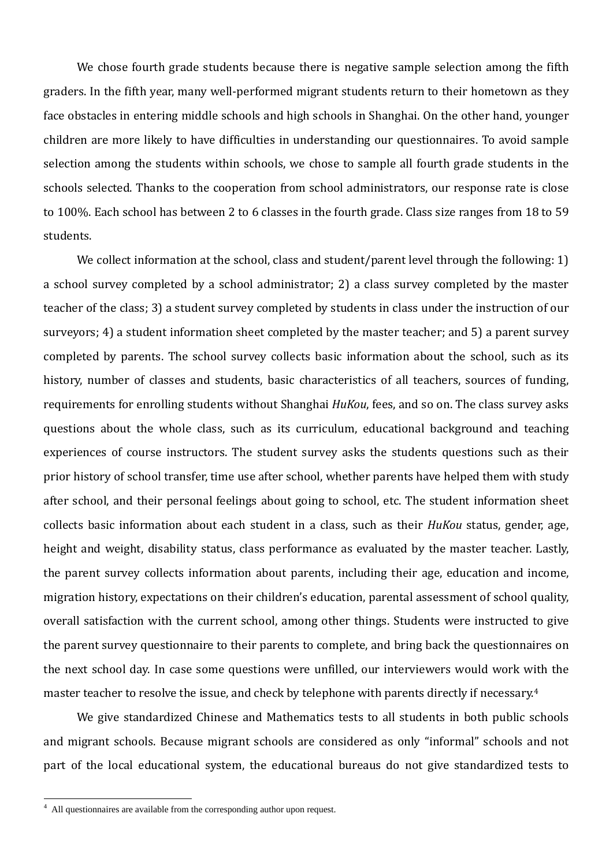We chose fourth grade students because there is negative sample selection among the fifth graders. In the fifth year, many well-performed migrant students return to their hometown as they face obstacles in entering middle schools and high schools in Shanghai. On the other hand, younger children are more likely to have difficulties in understanding our questionnaires. To avoid sample selection among the students within schools, we chose to sample all fourth grade students in the schools selected. Thanks to the cooperation from school administrators, our response rate is close to 100%. Each school has between 2 to 6 classes in the fourth grade. Class size ranges from 18 to 59 students.

We collect information at the school, class and student/parent level through the following: 1) a school survey completed by a school administrator; 2) a class survey completed by the master teacher of the class; 3) a student survey completed by students in class under the instruction of our surveyors; 4) a student information sheet completed by the master teacher; and 5) a parent survey completed by parents. The school survey collects basic information about the school, such as its history, number of classes and students, basic characteristics of all teachers, sources of funding, requirements for enrolling students without Shanghai *HuKou*, fees, and so on. The class survey asks questions about the whole class, such as its curriculum, educational background and teaching experiences of course instructors. The student survey asks the students questions such as their prior history of school transfer, time use after school, whether parents have helped them with study after school, and their personal feelings about going to school, etc. The student information sheet collects basic information about each student in a class, such as their *HuKou* status, gender, age, height and weight, disability status, class performance as evaluated by the master teacher. Lastly, the parent survey collects information about parents, including their age, education and income, migration history, expectations on their children's education, parental assessment of school quality, overall satisfaction with the current school, among other things. Students were instructed to give the parent survey questionnaire to their parents to complete, and bring back the questionnaires on the next school day. In case some questions were unfilled, our interviewers would work with the master teacher to resolve the issue, and check by telephone with parents directly if necessary.4

We give standardized Chinese and Mathematics tests to all students in both public schools and migrant schools. Because migrant schools are considered as only "informal" schools and not part of the local educational system, the educational bureaus do not give standardized tests to

 4 All questionnaires are available from the corresponding author upon request.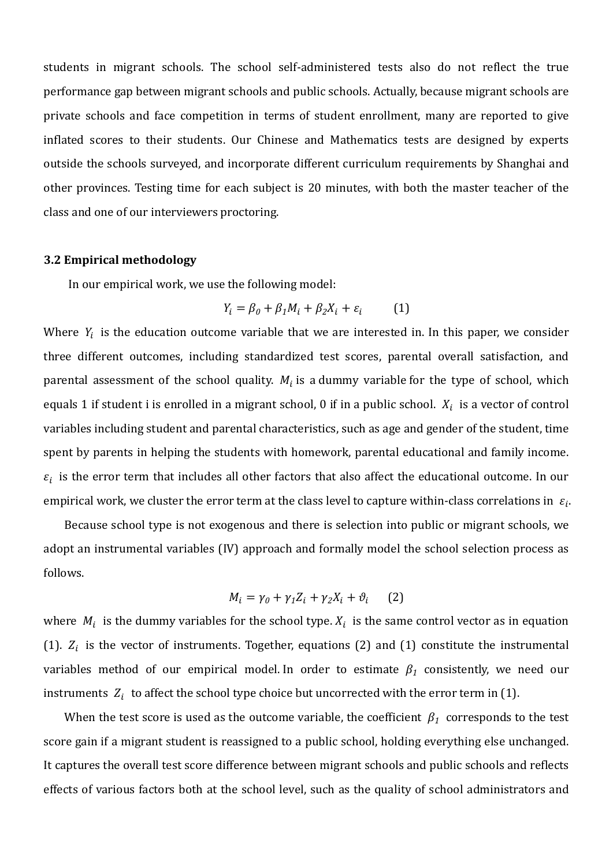students in migrant schools. The school self-administered tests also do not reflect the true performance gap between migrant schools and public schools. Actually, because migrant schools are private schools and face competition in terms of student enrollment, many are reported to give inflated scores to their students. Our Chinese and Mathematics tests are designed by experts outside the schools surveyed, and incorporate different curriculum requirements by Shanghai and other provinces. Testing time for each subject is 20 minutes, with both the master teacher of the class and one of our interviewers proctoring.

#### **3.2 Empirical methodology**

In our empirical work, we use the following model:

$$
Y_i = \beta_0 + \beta_1 M_i + \beta_2 X_i + \varepsilon_i \tag{1}
$$

Where  $Y_i$  is the education outcome variable that we are interested in. In this paper, we consider three different outcomes, including standardized test scores, parental overall satisfaction, and parental assessment of the school quality.  $M_i$  is a dummy variable for the type of school, which equals 1 if student i is enrolled in a migrant school, 0 if in a public school.  $X_i$  is a vector of control variables including student and parental characteristics, such as age and gender of the student, time spent by parents in helping the students with homework, parental educational and family income.  $\varepsilon_i$  is the error term that includes all other factors that also affect the educational outcome. In our empirical work, we cluster the error term at the class level to capture within-class correlations in  $\varepsilon_i$ .

Because school type is not exogenous and there is selection into public or migrant schools, we adopt an instrumental variables (IV) approach and formally model the school selection process as follows.

$$
M_i = \gamma_0 + \gamma_1 Z_i + \gamma_2 X_i + \vartheta_i \qquad (2)
$$

where  $M_i$  is the dummy variables for the school type.  $X_i$  is the same control vector as in equation (1).  $Z_i$  is the vector of instruments. Together, equations (2) and (1) constitute the instrumental variables method of our empirical model. In order to estimate  $\beta_1$  consistently, we need our instruments  $Z_i$  to affect the school type choice but uncorrected with the error term in (1).

When the test score is used as the outcome variable, the coefficient  $\beta_1$  corresponds to the test score gain if a migrant student is reassigned to a public school, holding everything else unchanged. It captures the overall test score difference between migrant schools and public schools and reflects effects of various factors both at the school level, such as the quality of school administrators and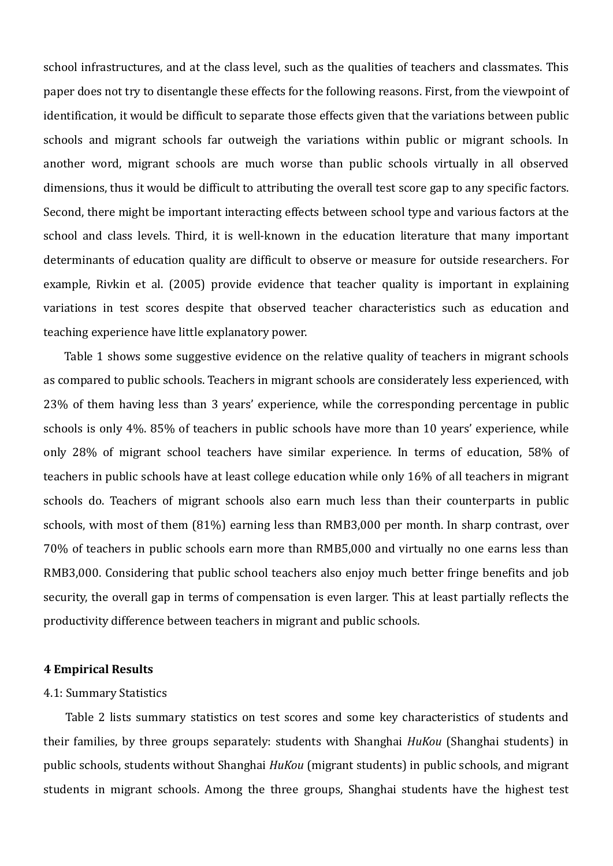school infrastructures, and at the class level, such as the qualities of teachers and classmates. This paper does not try to disentangle these effects for the following reasons. First, from the viewpoint of identification, it would be difficult to separate those effects given that the variations between public schools and migrant schools far outweigh the variations within public or migrant schools. In another word, migrant schools are much worse than public schools virtually in all observed dimensions, thus it would be difficult to attributing the overall test score gap to any specific factors. Second, there might be important interacting effects between school type and various factors at the school and class levels. Third, it is well-known in the education literature that many important determinants of education quality are difficult to observe or measure for outside researchers. For example, Rivkin et al. (2005) provide evidence that teacher quality is important in explaining variations in test scores despite that observed teacher characteristics such as education and teaching experience have little explanatory power.

Table 1 shows some suggestive evidence on the relative quality of teachers in migrant schools as compared to public schools. Teachers in migrant schools are considerately less experienced, with 23% of them having less than 3 years' experience, while the corresponding percentage in public schools is only 4%. 85% of teachers in public schools have more than 10 years' experience, while only 28% of migrant school teachers have similar experience. In terms of education, 58% of teachers in public schools have at least college education while only 16% of all teachers in migrant schools do. Teachers of migrant schools also earn much less than their counterparts in public schools, with most of them (81%) earning less than RMB3,000 per month. In sharp contrast, over 70% of teachers in public schools earn more than RMB5,000 and virtually no one earns less than RMB3,000. Considering that public school teachers also enjoy much better fringe benefits and job security, the overall gap in terms of compensation is even larger. This at least partially reflects the productivity difference between teachers in migrant and public schools.

## **4 Empirical Results**

#### 4.1: Summary Statistics

Table 2 lists summary statistics on test scores and some key characteristics of students and their families, by three groups separately: students with Shanghai *HuKou* (Shanghai students) in public schools, students without Shanghai *HuKou* (migrant students) in public schools, and migrant students in migrant schools. Among the three groups, Shanghai students have the highest test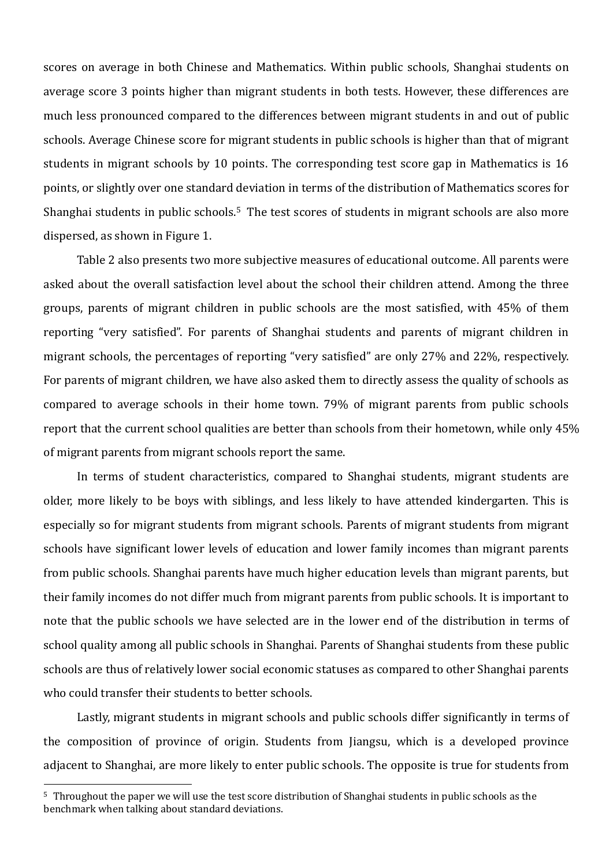scores on average in both Chinese and Mathematics. Within public schools, Shanghai students on average score 3 points higher than migrant students in both tests. However, these differences are much less pronounced compared to the differences between migrant students in and out of public schools. Average Chinese score for migrant students in public schools is higher than that of migrant students in migrant schools by 10 points. The corresponding test score gap in Mathematics is 16 points, or slightly over one standard deviation in terms of the distribution of Mathematics scores for Shanghai students in public schools.<sup>5</sup> The test scores of students in migrant schools are also more dispersed, as shown in Figure 1.

Table 2 also presents two more subjective measures of educational outcome. All parents were asked about the overall satisfaction level about the school their children attend. Among the three groups, parents of migrant children in public schools are the most satisfied, with 45% of them reporting "very satisfied". For parents of Shanghai students and parents of migrant children in migrant schools, the percentages of reporting "very satisfied" are only 27% and 22%, respectively. For parents of migrant children, we have also asked them to directly assess the quality of schools as compared to average schools in their home town. 79% of migrant parents from public schools report that the current school qualities are better than schools from their hometown, while only 45% of migrant parents from migrant schools report the same.

In terms of student characteristics, compared to Shanghai students, migrant students are older, more likely to be boys with siblings, and less likely to have attended kindergarten. This is especially so for migrant students from migrant schools. Parents of migrant students from migrant schools have significant lower levels of education and lower family incomes than migrant parents from public schools. Shanghai parents have much higher education levels than migrant parents, but their family incomes do not differ much from migrant parents from public schools. It is important to note that the public schools we have selected are in the lower end of the distribution in terms of school quality among all public schools in Shanghai. Parents of Shanghai students from these public schools are thus of relatively lower social economic statuses as compared to other Shanghai parents who could transfer their students to better schools.

Lastly, migrant students in migrant schools and public schools differ significantly in terms of the composition of province of origin. Students from Jiangsu, which is a developed province adjacent to Shanghai, are more likely to enter public schools. The opposite is true for students from

<sup>5</sup> Throughout the paper we will use the test score distribution of Shanghai students in public schools as the benchmark when talking about standard deviations.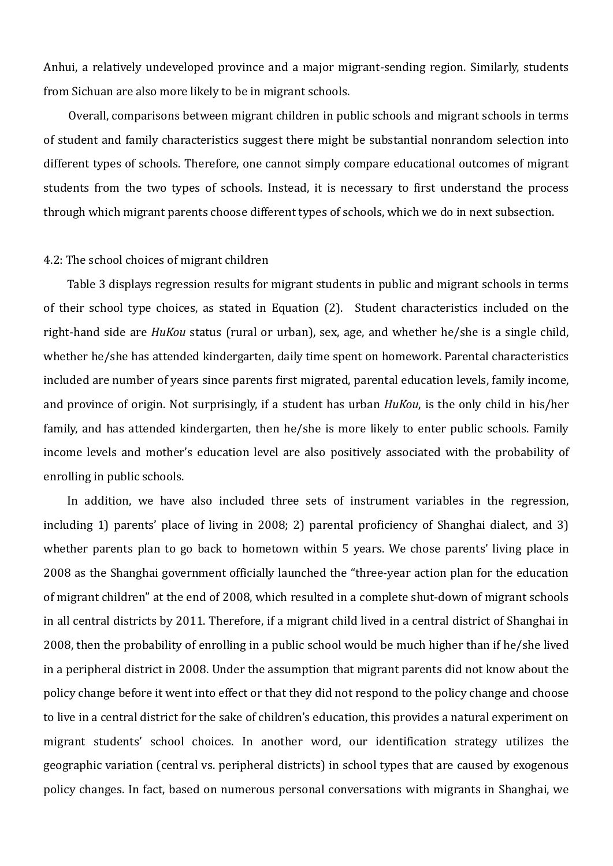Anhui, a relatively undeveloped province and a major migrant‐sending region. Similarly, students from Sichuan are also more likely to be in migrant schools.

Overall, comparisons between migrant children in public schools and migrant schools in terms of student and family characteristics suggest there might be substantial nonrandom selection into different types of schools. Therefore, one cannot simply compare educational outcomes of migrant students from the two types of schools. Instead, it is necessary to first understand the process through which migrant parents choose different types of schools, which we do in next subsection.

#### 4.2: The school choices of migrant children

Table 3 displays regression results for migrant students in public and migrant schools in terms of their school type choices, as stated in Equation (2). Student characteristics included on the right-hand side are *HuKou* status (rural or urban), sex, age, and whether he/she is a single child, whether he/she has attended kindergarten, daily time spent on homework. Parental characteristics included are number of years since parents first migrated, parental education levels, family income, and province of origin. Not surprisingly, if a student has urban *HuKou*, is the only child in his/her family, and has attended kindergarten, then he/she is more likely to enter public schools. Family income levels and mother's education level are also positively associated with the probability of enrolling in public schools.

In addition, we have also included three sets of instrument variables in the regression, including 1) parents' place of living in  $2008; 2$ ) parental proficiency of Shanghai dialect, and 3) whether parents plan to go back to hometown within 5 years. We chose parents' living place in 2008 as the Shanghai government officially launched the "three‐year action plan for the education of migrant children" at the end of 2008, which resulted in a complete shut‐down of migrant schools in all central districts by 2011. Therefore, if a migrant child lived in a central district of Shanghai in 2008, then the probability of enrolling in a public school would be much higher than if he/she lived in a peripheral district in 2008. Under the assumption that migrant parents did not know about the policy change before it went into effect or that they did not respond to the policy change and choose to live in a central district for the sake of children's education, this provides a natural experiment on migrant students' school choices. In another word, our identification strategy utilizes the geographic variation (central vs. peripheral districts) in school types that are caused by exogenous policy changes. In fact, based on numerous personal conversations with migrants in Shanghai, we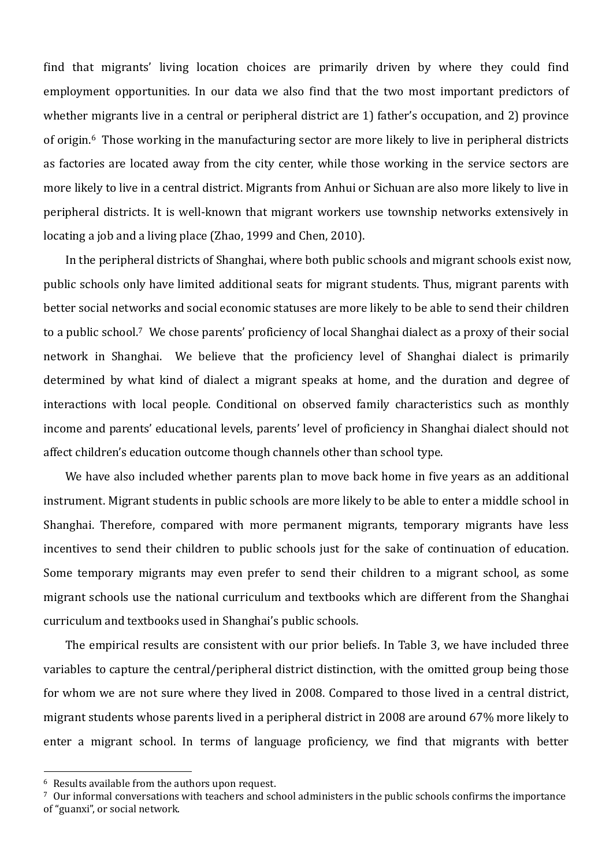find that migrants' living location choices are primarily driven by where they could find employment opportunities. In our data we also find that the two most important predictors of whether migrants live in a central or peripheral district are 1) father's occupation, and 2) province of origin.6 Those working in the manufacturing sector are more likely to live in peripheral districts as factories are located away from the city center, while those working in the service sectors are more likely to live in a central district. Migrants from Anhui or Sichuan are also more likely to live in peripheral districts. It is well‐known that migrant workers use township networks extensively in locating a job and a living place (Zhao, 1999 and Chen, 2010).

In the peripheral districts of Shanghai, where both public schools and migrant schools exist now, public schools only have limited additional seats for migrant students. Thus, migrant parents with better social networks and social economic statuses are more likely to be able to send their children to a public school.7 We chose parents' proficiency of local Shanghai dialect as a proxy of their social network in Shanghai. We believe that the proficiency level of Shanghai dialect is primarily determined by what kind of dialect a migrant speaks at home, and the duration and degree of interactions with local people. Conditional on observed family characteristics such as monthly income and parents' educational levels, parents' level of proficiency in Shanghai dialect should not affect children's education outcome though channels other than school type.

We have also included whether parents plan to move back home in five years as an additional instrument. Migrant students in public schools are more likely to be able to enter a middle school in Shanghai. Therefore, compared with more permanent migrants, temporary migrants have less incentives to send their children to public schools just for the sake of continuation of education. Some temporary migrants may even prefer to send their children to a migrant school, as some migrant schools use the national curriculum and textbooks which are different from the Shanghai curriculum and textbooks used in Shanghai's public schools.

The empirical results are consistent with our prior beliefs. In Table 3, we have included three variables to capture the central/peripheral district distinction, with the omitted group being those for whom we are not sure where they lived in 2008. Compared to those lived in a central district, migrant students whose parents lived in a peripheral district in 2008 are around 67% more likely to enter a migrant school. In terms of language proficiency, we find that migrants with better

<sup>6</sup> Results available from the authors upon request.

<sup>7</sup> Our informal conversations with teachers and school administers in the public schools confirms the importance of "guanxi", or social network.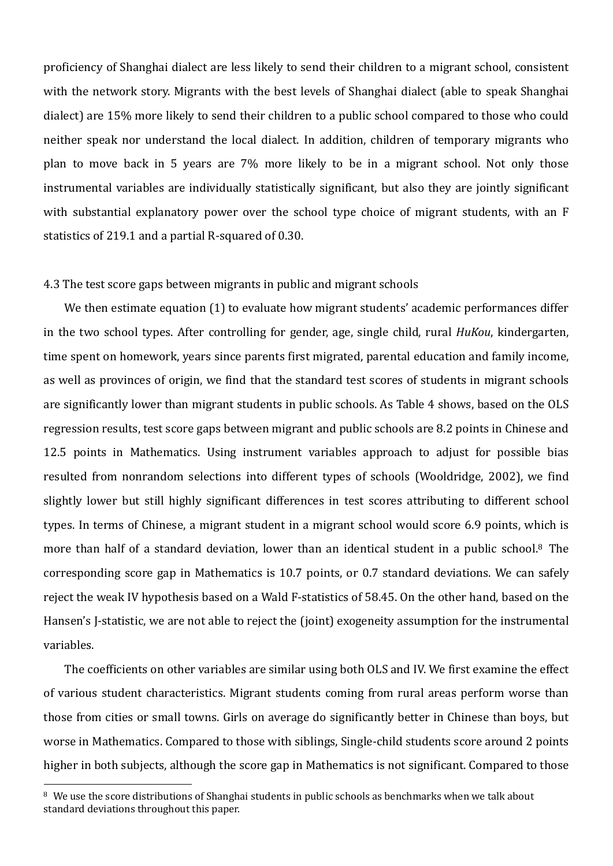proficiency of Shanghai dialect are less likely to send their children to a migrant school, consistent with the network story. Migrants with the best levels of Shanghai dialect (able to speak Shanghai dialect) are 15% more likely to send their children to a public school compared to those who could neither speak nor understand the local dialect. In addition, children of temporary migrants who plan to move back in 5 years are 7% more likely to be in a migrant school. Not only those instrumental variables are individually statistically significant, but also they are jointly significant with substantial explanatory power over the school type choice of migrant students, with an F statistics of 219.1 and a partial R‐squared of 0.30.

#### 4.3 The test score gaps between migrants in public and migrant schools

We then estimate equation (1) to evaluate how migrant students' academic performances differ in the two school types. After controlling for gender, age, single child, rural *HuKou*, kindergarten, time spent on homework, years since parents first migrated, parental education and family income, as well as provinces of origin, we find that the standard test scores of students in migrant schools are significantly lower than migrant students in public schools. As Table 4 shows, based on the OLS regression results, test score gaps between migrant and public schools are 8.2 points in Chinese and 12.5 points in Mathematics. Using instrument variables approach to adjust for possible bias resulted from nonrandom selections into different types of schools (Wooldridge, 2002), we find slightly lower but still highly significant differences in test scores attributing to different school types. In terms of Chinese, a migrant student in a migrant school would score 6.9 points, which is more than half of a standard deviation, lower than an identical student in a public school.<sup>8</sup> The corresponding score gap in Mathematics is 10.7 points, or 0.7 standard deviations. We can safely reject the weak IV hypothesis based on a Wald F‐statistics of 58.45. On the other hand, based on the Hansen's J-statistic, we are not able to reject the (joint) exogeneity assumption for the instrumental variables.

The coefficients on other variables are similar using both OLS and IV. We first examine the effect of various student characteristics. Migrant students coming from rural areas perform worse than those from cities or small towns. Girls on average do significantly better in Chinese than boys, but worse in Mathematics. Compared to those with siblings, Single‐child students score around 2 points higher in both subjects, although the score gap in Mathematics is not significant. Compared to those

<sup>8</sup> We use the score distributions of Shanghai students in public schools as benchmarks when we talk about standard deviations throughout this paper.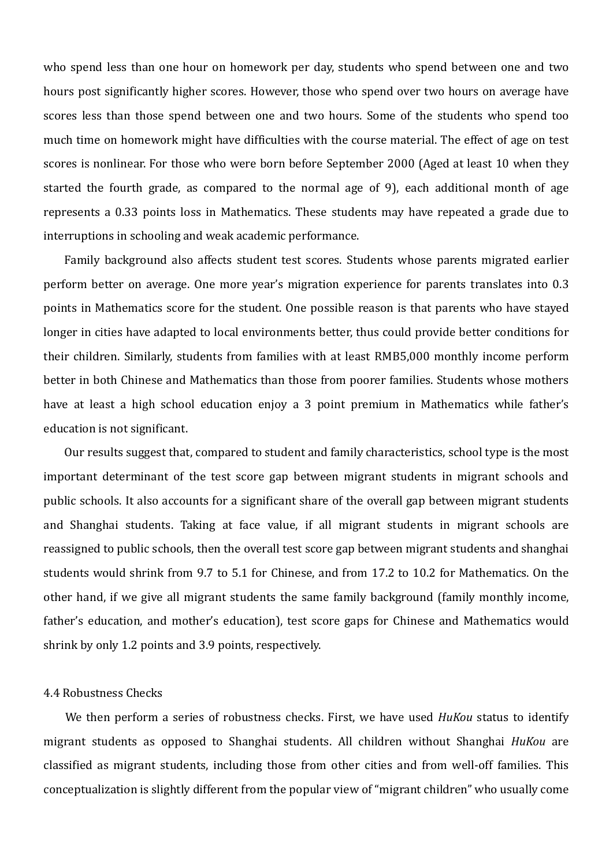who spend less than one hour on homework per day, students who spend between one and two hours post significantly higher scores. However, those who spend over two hours on average have scores less than those spend between one and two hours. Some of the students who spend too much time on homework might have difficulties with the course material. The effect of age on test scores is nonlinear. For those who were born before September 2000 (Aged at least 10 when they started the fourth grade, as compared to the normal age of 9), each additional month of age represents a 0.33 points loss in Mathematics. These students may have repeated a grade due to interruptions in schooling and weak academic performance.

Family background also affects student test scores. Students whose parents migrated earlier perform better on average. One more year's migration experience for parents translates into 0.3 points in Mathematics score for the student. One possible reason is that parents who have stayed longer in cities have adapted to local environments better, thus could provide better conditions for their children. Similarly, students from families with at least RMB5,000 monthly income perform better in both Chinese and Mathematics than those from poorer families. Students whose mothers have at least a high school education enjoy a 3 point premium in Mathematics while father's education is not significant.

Our results suggest that, compared to student and family characteristics, school type is the most important determinant of the test score gap between migrant students in migrant schools and public schools. It also accounts for a significant share of the overall gap between migrant students and Shanghai students. Taking at face value, if all migrant students in migrant schools are reassigned to public schools, then the overall test score gap between migrant students and shanghai students would shrink from 9.7 to 5.1 for Chinese, and from 17.2 to 10.2 for Mathematics. On the other hand, if we give all migrant students the same family background (family monthly income, father's education, and mother's education), test score gaps for Chinese and Mathematics would shrink by only 1.2 points and 3.9 points, respectively.

# 4.4 Robustness Checks

We then perform a series of robustness checks. First, we have used *HuKou* status to identify migrant students as opposed to Shanghai students. All children without Shanghai *HuKou* are classified as migrant students, including those from other cities and from well‐off families. This conceptualization is slightly different from the popular view of "migrant children" who usually come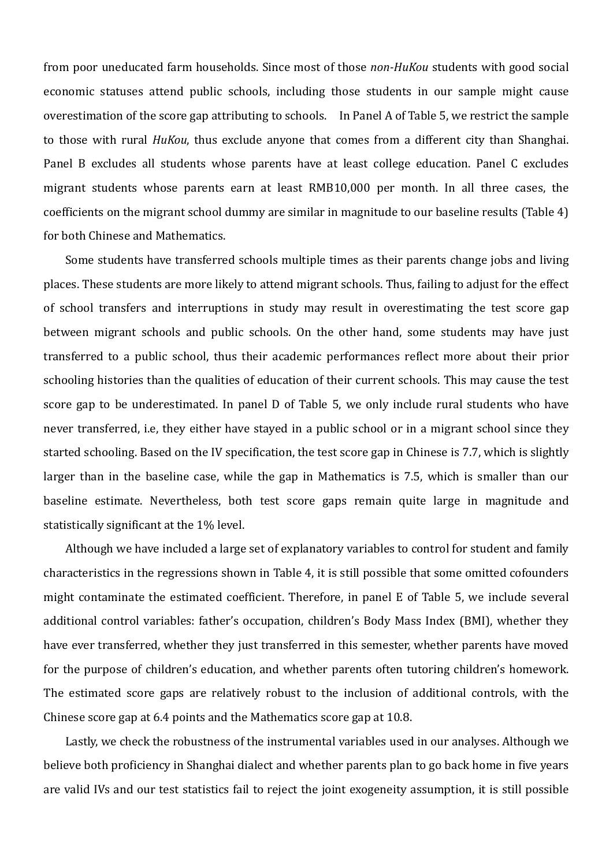from poor uneducated farm households. Since most of those *nonHuKou* students with good social economic statuses attend public schools, including those students in our sample might cause overestimation of the score gap attributing to schools. In Panel A of Table 5, we restrict the sample to those with rural *HuKou*, thus exclude anyone that comes from a different city than Shanghai. Panel B excludes all students whose parents have at least college education. Panel C excludes migrant students whose parents earn at least RMB10,000 per month. In all three cases, the coefficients on the migrant school dummy are similar in magnitude to our baseline results (Table 4) for both Chinese and Mathematics.

Some students have transferred schools multiple times as their parents change jobs and living places. These students are more likely to attend migrant schools. Thus, failing to adjust for the effect of school transfers and interruptions in study may result in overestimating the test score gap between migrant schools and public schools. On the other hand, some students may have just transferred to a public school, thus their academic performances reflect more about their prior schooling histories than the qualities of education of their current schools. This may cause the test score gap to be underestimated. In panel D of Table 5, we only include rural students who have never transferred, i.e, they either have stayed in a public school or in a migrant school since they started schooling. Based on the IV specification, the test score gap in Chinese is 7.7, which is slightly larger than in the baseline case, while the gap in Mathematics is 7.5, which is smaller than our baseline estimate. Nevertheless, both test score gaps remain quite large in magnitude and statistically significant at the 1% level.

Although we have included a large set of explanatory variables to control for student and family characteristics in the regressions shown in Table 4, it is still possible that some omitted cofounders might contaminate the estimated coefficient. Therefore, in panel E of Table 5, we include several additional control variables: father's occupation, children's Body Mass Index (BMI), whether they have ever transferred, whether they just transferred in this semester, whether parents have moved for the purpose of children's education, and whether parents often tutoring children's homework. The estimated score gaps are relatively robust to the inclusion of additional controls, with the Chinese score gap at 6.4 points and the Mathematics score gap at 10.8.

Lastly, we check the robustness of the instrumental variables used in our analyses. Although we believe both proficiency in Shanghai dialect and whether parents plan to go back home in five years are valid IVs and our test statistics fail to reject the joint exogeneity assumption, it is still possible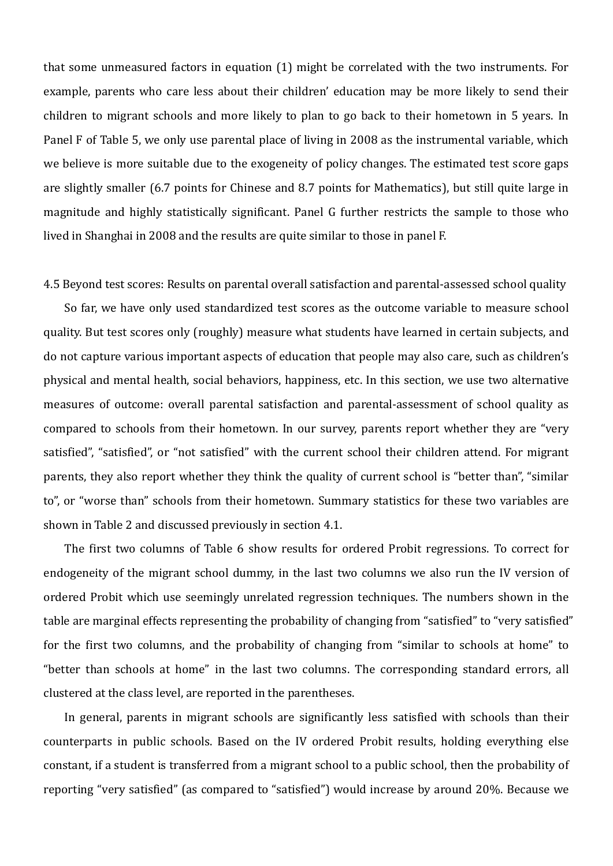that some unmeasured factors in equation (1) might be correlated with the two instruments. For example, parents who care less about their children' education may be more likely to send their children to migrant schools and more likely to plan to go back to their hometown in 5 years. In Panel F of Table 5, we only use parental place of living in 2008 as the instrumental variable, which we believe is more suitable due to the exogeneity of policy changes. The estimated test score gaps are slightly smaller (6.7 points for Chinese and 8.7 points for Mathematics), but still quite large in magnitude and highly statistically significant. Panel G further restricts the sample to those who lived in Shanghai in 2008 and the results are quite similar to those in panel F.

4.5 Beyond test scores: Results on parental overall satisfaction and parental‐assessed school quality

So far, we have only used standardized test scores as the outcome variable to measure school quality. But test scores only (roughly) measure what students have learned in certain subjects, and do not capture various important aspects of education that people may also care, such as children's physical and mental health, social behaviors, happiness, etc. In this section, we use two alternative measures of outcome: overall parental satisfaction and parental‐assessment of school quality as compared to schools from their hometown. In our survey, parents report whether they are "very satisfied", "satisfied", or "not satisfied" with the current school their children attend. For migrant parents, they also report whether they think the quality of current school is "better than", "similar to", or "worse than" schools from their hometown. Summary statistics for these two variables are shown in Table 2 and discussed previously in section 4.1.

The first two columns of Table 6 show results for ordered Probit regressions. To correct for endogeneity of the migrant school dummy, in the last two columns we also run the IV version of ordered Probit which use seemingly unrelated regression techniques. The numbers shown in the table are marginal effects representing the probability of changing from "satisfied" to "very satisfied" for the first two columns, and the probability of changing from "similar to schools at home" to "better than schools at home" in the last two columns. The corresponding standard errors, all clustered at the class level, are reported in the parentheses.

In general, parents in migrant schools are significantly less satisfied with schools than their counterparts in public schools. Based on the IV ordered Probit results, holding everything else constant, if a student is transferred from a migrant school to a public school, then the probability of reporting "very satisfied" (as compared to "satisfied") would increase by around 20%. Because we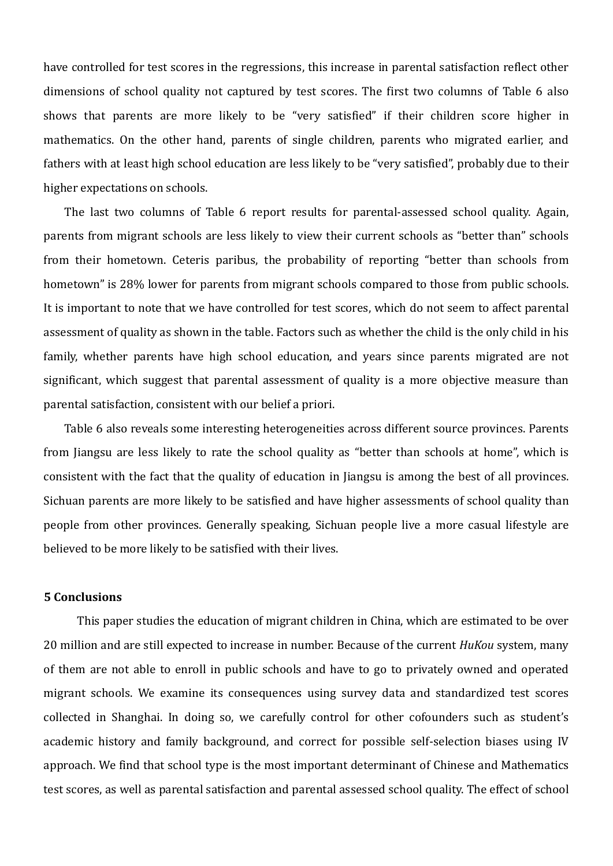have controlled for test scores in the regressions, this increase in parental satisfaction reflect other dimensions of school quality not captured by test scores. The first two columns of Table 6 also shows that parents are more likely to be "very satisfied" if their children score higher in mathematics. On the other hand, parents of single children, parents who migrated earlier, and fathers with at least high school education are less likely to be "very satisfied", probably due to their higher expectations on schools.

The last two columns of Table 6 report results for parental-assessed school quality. Again, parents from migrant schools are less likely to view their current schools as "better than" schools from their hometown. Ceteris paribus, the probability of reporting "better than schools from hometown" is 28% lower for parents from migrant schools compared to those from public schools. It is important to note that we have controlled for test scores, which do not seem to affect parental assessment of quality as shown in the table. Factors such as whether the child is the only child in his family, whether parents have high school education, and years since parents migrated are not significant, which suggest that parental assessment of quality is a more objective measure than parental satisfaction, consistent with our belief a priori.

Table 6 also reveals some interesting heterogeneities across different source provinces. Parents from Jiangsu are less likely to rate the school quality as "better than schools at home", which is consistent with the fact that the quality of education in Jiangsu is among the best of all provinces. Sichuan parents are more likely to be satisfied and have higher assessments of school quality than people from other provinces. Generally speaking, Sichuan people live a more casual lifestyle are believed to be more likely to be satisfied with their lives.

## **5 Conclusions**

This paper studies the education of migrant children in China, which are estimated to be over 20 million and are still expected to increase in number. Because of the current *HuKou* system, many of them are not able to enroll in public schools and have to go to privately owned and operated migrant schools. We examine its consequences using survey data and standardized test scores collected in Shanghai. In doing so, we carefully control for other cofounders such as student's academic history and family background, and correct for possible self‐selection biases using IV approach. We find that school type is the most important determinant of Chinese and Mathematics test scores, as well as parental satisfaction and parental assessed school quality. The effect of school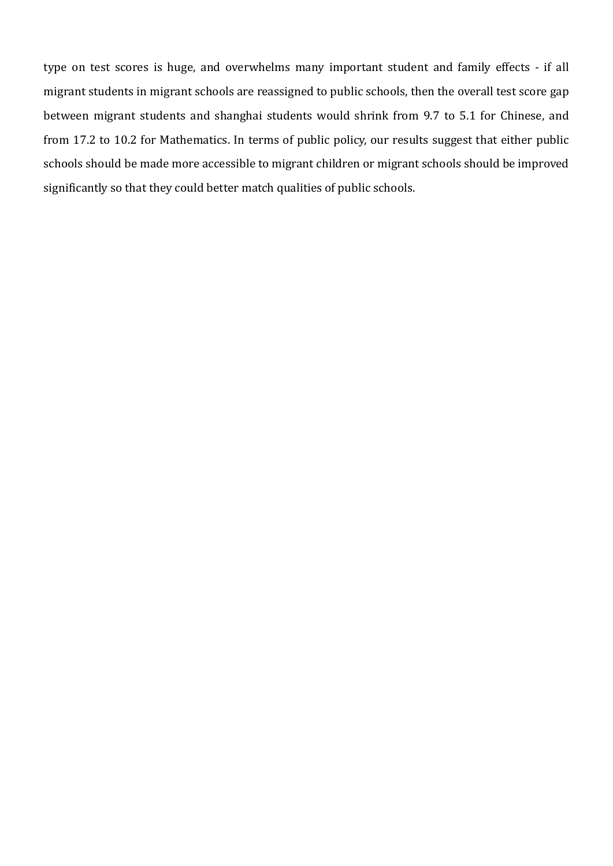type on test scores is huge, and overwhelms many important student and family effects ‐ if all migrant students in migrant schools are reassigned to public schools, then the overall test score gap between migrant students and shanghai students would shrink from 9.7 to 5.1 for Chinese, and from 17.2 to 10.2 for Mathematics. In terms of public policy, our results suggest that either public schools should be made more accessible to migrant children or migrant schools should be improved significantly so that they could better match qualities of public schools.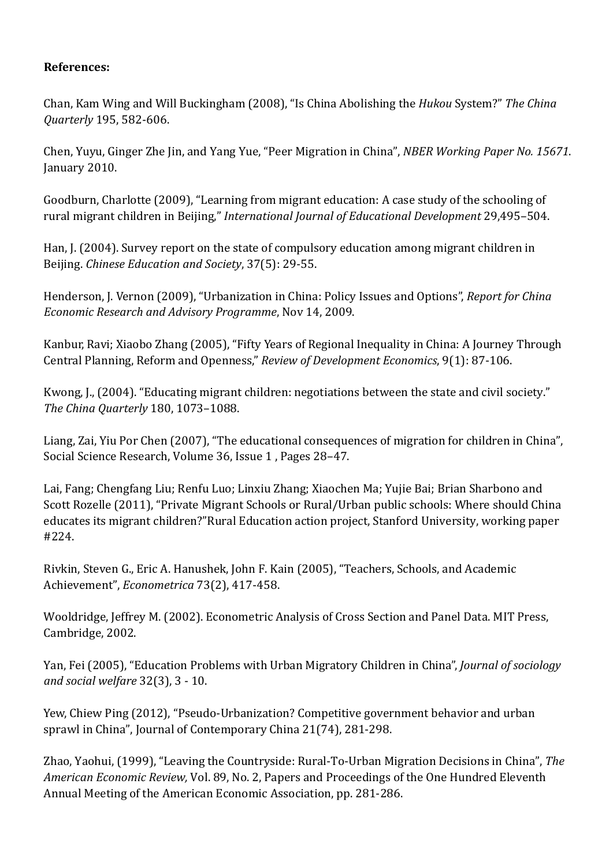# **References:**

Chan, Kam Wing and Will Buckingham (2008), "Is China Abolishing the *Hukou* System?" *The China Quarterly* 195, 582‐606.

Chen, Yuyu, Ginger Zhe Jin, and Yang Yue, "Peer Migration in China", *NBER Working Paper No. 15671*. January 2010.

Goodburn, Charlotte (2009), "Learning from migrant education: A case study of the schooling of rural migrant children in Beijing," *International Journal of Educational Development* 29,495–504.

Han, J. (2004). Survey report on the state of compulsory education among migrant children in Beijing. *Chinese Education and Society*, 37(5): 29‐55.

Henderson, J. Vernon (2009), "Urbanization in China: Policy Issues and Options", *Report for China Economic Research and Advisory Programme*, Nov 14, 2009.

Kanbur, Ravi; Xiaobo Zhang (2005), "Fifty Years of Regional Inequality in China: A Journey Through Central Planning, Reform and Openness," *Review of Development Economics*, 9(1): 87‐106.

Kwong, J., (2004). "Educating migrant children: negotiations between the state and civil society." *The China Quarterly* 180, 1073–1088.

Liang, Zai, Yiu Por Chen (2007), "The educational consequences of migration for children in China", Social Science Research, Volume 36, Issue 1 , Pages 28–47.

Lai, Fang; Chengfang Liu; Renfu Luo; Linxiu Zhang; Xiaochen Ma; Yujie Bai; Brian Sharbono and Scott Rozelle (2011), "Private Migrant Schools or Rural/Urban public schools: Where should China educates its migrant children?"Rural Education action project, Stanford University, working paper #224.

Rivkin, Steven G., Eric A. Hanushek, John F. Kain (2005), "Teachers, Schools, and Academic Achievement", *Econometrica* 73(2), 417‐458.

Wooldridge, Jeffrey M. (2002). Econometric Analysis of Cross Section and Panel Data. MIT Press, Cambridge, 2002.

Yan, Fei (2005), "Education Problems with Urban Migratory Children in China", *Journal of sociology and social welfare* 32(3), 3 ‐ 10.

Yew, Chiew Ping (2012), "Pseudo‐Urbanization? Competitive government behavior and urban sprawl in China", Journal of Contemporary China 21(74), 281‐298.

Zhao, Yaohui, (1999), "Leaving the Countryside: Rural‐To‐Urban Migration Decisions in China", *The American Economic Review,* Vol. 89, No. 2, Papers and Proceedings of the One Hundred Eleventh Annual Meeting of the American Economic Association, pp. 281‐286.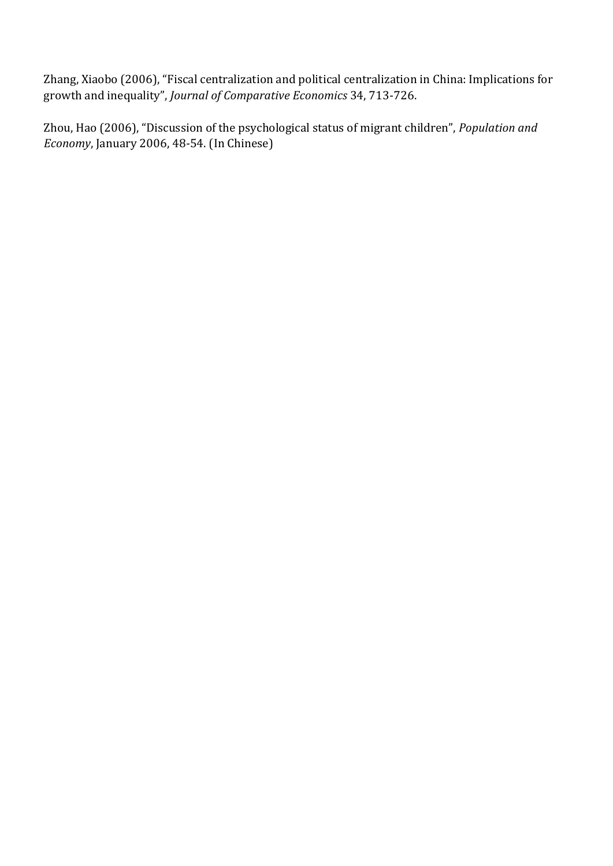Zhang, Xiaobo (2006), "Fiscal centralization and political centralization in China: Implications for growth and inequality", *Journal of Comparative Economics* 34, 713‐726.

Zhou, Hao (2006), "Discussion of the psychological status of migrant children", *Population and Economy*, January 2006, 48‐54. (In Chinese)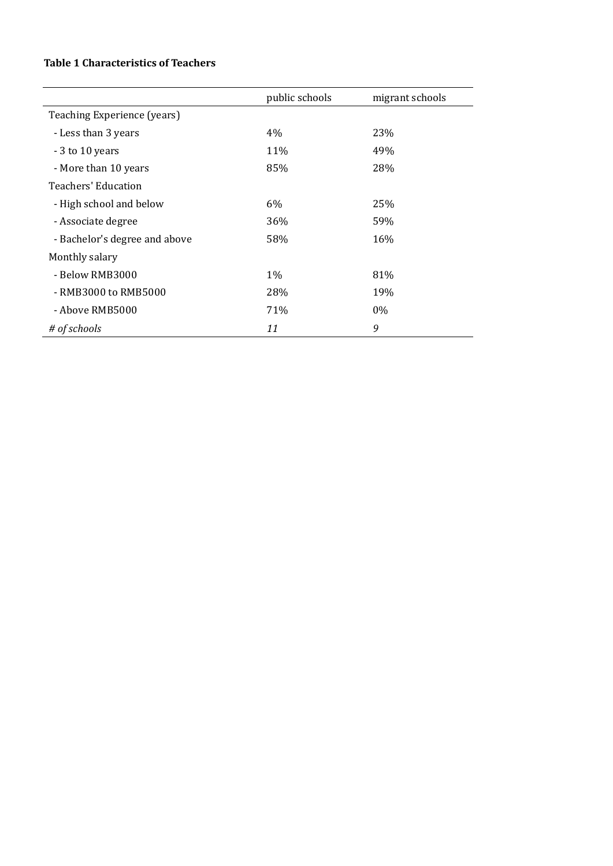## **Table 1 Characteristics of Teachers**

|                               | public schools | migrant schools |
|-------------------------------|----------------|-----------------|
| Teaching Experience (years)   |                |                 |
| - Less than 3 years           | 4%             | 23%             |
| - 3 to 10 years               | 11%            | 49%             |
| - More than 10 years          | 85%            | 28%             |
| Teachers' Education           |                |                 |
| - High school and below       | 6%             | 25%             |
| - Associate degree            | 36%            | 59%             |
| - Bachelor's degree and above | 58%            | 16%             |
| Monthly salary                |                |                 |
| - Below RMB3000               | $1\%$          | 81%             |
| - RMB3000 to RMB5000          | 28%            | 19%             |
| - Above RMB5000               | 71%            | $0\%$           |
| # of schools                  | 11             | 9               |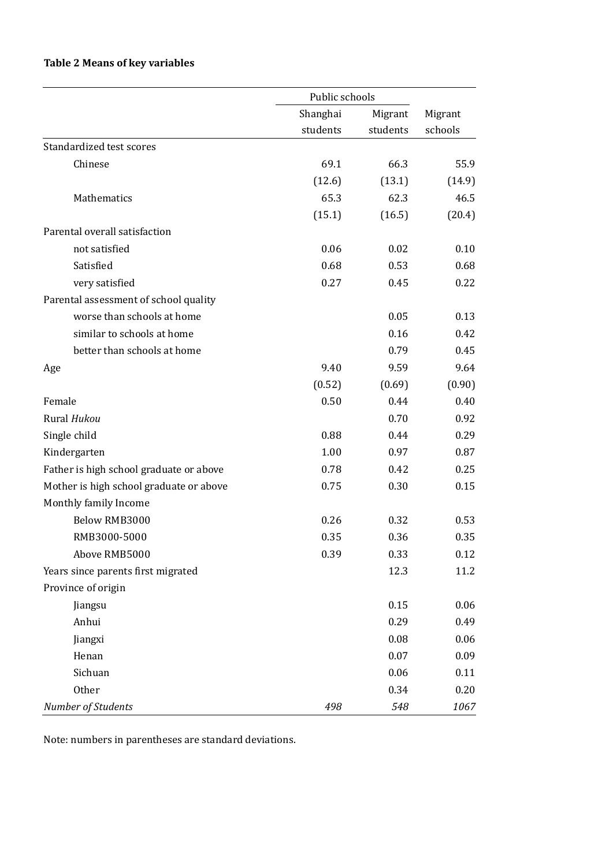# **Table 2 Means of key variables**

|                                         | Public schools |          |         |
|-----------------------------------------|----------------|----------|---------|
|                                         | Shanghai       | Migrant  | Migrant |
|                                         | students       | students | schools |
| Standardized test scores                |                |          |         |
| Chinese                                 | 69.1           | 66.3     | 55.9    |
|                                         | (12.6)         | (13.1)   | (14.9)  |
| Mathematics                             | 65.3           | 62.3     | 46.5    |
|                                         | (15.1)         | (16.5)   | (20.4)  |
| Parental overall satisfaction           |                |          |         |
| not satisfied                           | 0.06           | 0.02     | 0.10    |
| Satisfied                               | 0.68           | 0.53     | 0.68    |
| very satisfied                          | 0.27           | 0.45     | 0.22    |
| Parental assessment of school quality   |                |          |         |
| worse than schools at home              |                | 0.05     | 0.13    |
| similar to schools at home              |                | 0.16     | 0.42    |
| better than schools at home             |                | 0.79     | 0.45    |
| Age                                     | 9.40           | 9.59     | 9.64    |
|                                         | (0.52)         | (0.69)   | (0.90)  |
| Female                                  | 0.50           | 0.44     | 0.40    |
| Rural Hukou                             |                | 0.70     | 0.92    |
| Single child                            | 0.88           | 0.44     | 0.29    |
| Kindergarten                            | 1.00           | 0.97     | 0.87    |
| Father is high school graduate or above | 0.78           | 0.42     | 0.25    |
| Mother is high school graduate or above | 0.75           | 0.30     | 0.15    |
| Monthly family Income                   |                |          |         |
| Below RMB3000                           | 0.26           | 0.32     | 0.53    |
| RMB3000-5000                            | 0.35           | 0.36     | 0.35    |
| Above RMB5000                           | 0.39           | 0.33     | 0.12    |
| Years since parents first migrated      |                | 12.3     | 11.2    |
| Province of origin                      |                |          |         |
| Jiangsu                                 |                | 0.15     | 0.06    |
| Anhui                                   |                | 0.29     | 0.49    |
| Jiangxi                                 |                | 0.08     | 0.06    |
| Henan                                   |                | 0.07     | 0.09    |
| Sichuan                                 |                | 0.06     | 0.11    |
| Other                                   |                | 0.34     | 0.20    |
| Number of Students                      | 498            | 548      | 1067    |

Note: numbers in parentheses are standard deviations.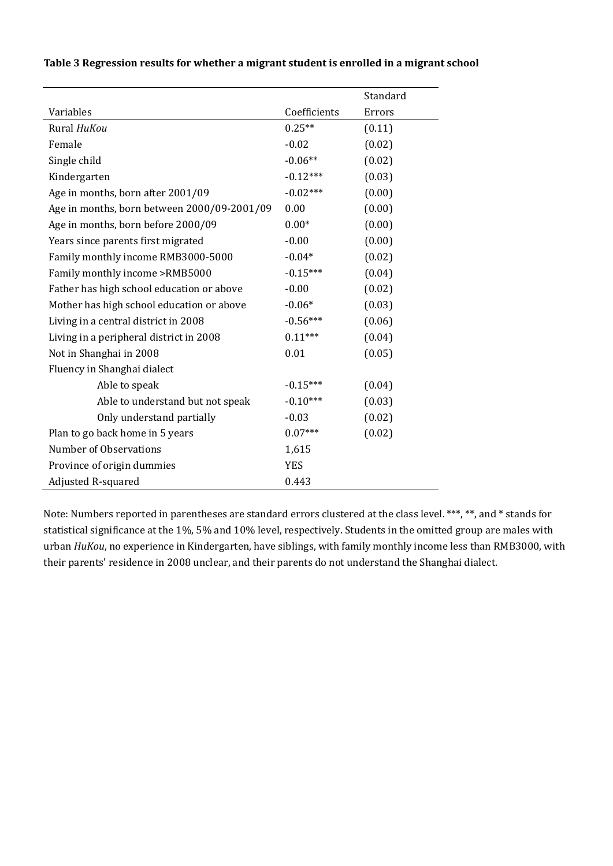#### **Table 3 Regression results for whether a migrant student is enrolled in a migrant school**

|                                             |              | Standard |
|---------------------------------------------|--------------|----------|
| Variables                                   | Coefficients | Errors   |
| Rural HuKou                                 | $0.25**$     | (0.11)   |
| Female                                      | $-0.02$      | (0.02)   |
| Single child                                | $-0.06**$    | (0.02)   |
| Kindergarten                                | $-0.12***$   | (0.03)   |
| Age in months, born after 2001/09           | $-0.02***$   | (0.00)   |
| Age in months, born between 2000/09-2001/09 | 0.00         | (0.00)   |
| Age in months, born before 2000/09          | $0.00*$      | (0.00)   |
| Years since parents first migrated          | $-0.00$      | (0.00)   |
| Family monthly income RMB3000-5000          | $-0.04*$     | (0.02)   |
| Family monthly income >RMB5000              | $-0.15***$   | (0.04)   |
| Father has high school education or above   | $-0.00$      | (0.02)   |
| Mother has high school education or above   | $-0.06*$     | (0.03)   |
| Living in a central district in 2008        | $-0.56***$   | (0.06)   |
| Living in a peripheral district in 2008     | $0.11***$    | (0.04)   |
| Not in Shanghai in 2008                     | 0.01         | (0.05)   |
| Fluency in Shanghai dialect                 |              |          |
| Able to speak                               | $-0.15***$   | (0.04)   |
| Able to understand but not speak            | $-0.10***$   | (0.03)   |
| Only understand partially                   | $-0.03$      | (0.02)   |
| Plan to go back home in 5 years             | $0.07***$    | (0.02)   |
| Number of Observations                      | 1,615        |          |
| Province of origin dummies                  | <b>YES</b>   |          |
| Adjusted R-squared                          | 0.443        |          |

Note: Numbers reported in parentheses are standard errors clustered at the class level. \*\*\*, \*\*, and \* stands for statistical significance at the 1%, 5% and 10% level, respectively. Students in the omitted group are males with urban *HuKou*, no experience in Kindergarten, have siblings, with family monthly income less than RMB3000, with their parents' residence in 2008 unclear, and their parents do not understand the Shanghai dialect.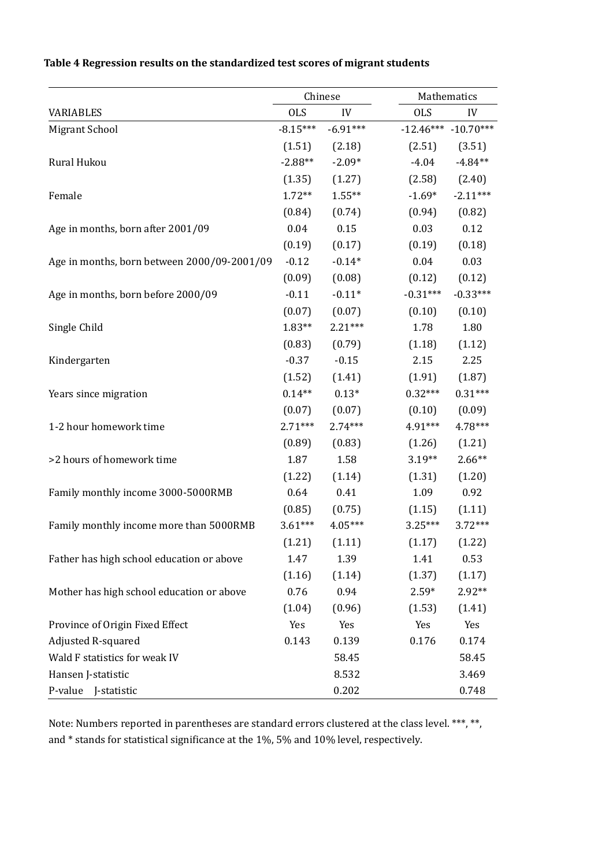|                                             | Chinese    |                   |            | Mathematics             |  |
|---------------------------------------------|------------|-------------------|------------|-------------------------|--|
| <b>VARIABLES</b>                            | <b>OLS</b> | IV                | <b>OLS</b> | IV                      |  |
| <b>Migrant School</b>                       | $-8.15***$ | $-6.91***$        |            | $-12.46***$ $-10.70***$ |  |
|                                             | (1.51)     | (2.18)            | (2.51)     | (3.51)                  |  |
| Rural Hukou                                 | $-2.88**$  | $-2.09*$          | $-4.04$    | $-4.84**$               |  |
|                                             | (1.35)     | (1.27)            | (2.58)     | (2.40)                  |  |
| Female                                      | $1.72**$   | $1.55***$         | $-1.69*$   | $-2.11***$              |  |
|                                             | (0.84)     | (0.74)            | (0.94)     | (0.82)                  |  |
| Age in months, born after 2001/09           | 0.04       | 0.15              | 0.03       | 0.12                    |  |
|                                             | (0.19)     | (0.17)            | (0.19)     | (0.18)                  |  |
| Age in months, born between 2000/09-2001/09 | $-0.12$    | $-0.14*$          | 0.04       | 0.03                    |  |
|                                             | (0.09)     | (0.08)            | (0.12)     | (0.12)                  |  |
| Age in months, born before 2000/09          | $-0.11$    | $-0.11*$          | $-0.31***$ | $-0.33***$              |  |
|                                             | (0.07)     | (0.07)            | (0.10)     | (0.10)                  |  |
| Single Child                                | $1.83**$   | $2.21***$         | 1.78       | 1.80                    |  |
|                                             | (0.83)     | (0.79)            | (1.18)     | (1.12)                  |  |
| Kindergarten                                | $-0.37$    | $-0.15$           | 2.15       | 2.25                    |  |
|                                             | (1.52)     | (1.41)            | (1.91)     | (1.87)                  |  |
| Years since migration                       | $0.14**$   | $0.13*$           | $0.32***$  | $0.31***$               |  |
|                                             | (0.07)     | (0.07)            | (0.10)     | (0.09)                  |  |
| 1-2 hour homework time                      | $2.71***$  | $2.74***$         | 4.91***    | 4.78***                 |  |
|                                             | (0.89)     | (0.83)            | (1.26)     | (1.21)                  |  |
| >2 hours of homework time                   | 1.87       | 1.58              | $3.19**$   | $2.66**$                |  |
|                                             | (1.22)     | (1.14)            | (1.31)     | (1.20)                  |  |
| Family monthly income 3000-5000RMB          | 0.64       | 0.41              | 1.09       | 0.92                    |  |
|                                             | (0.85)     | (0.75)            | (1.15)     | (1.11)                  |  |
| Family monthly income more than 5000RMB     | $3.61***$  | $4.05***$         | $3.25***$  | $3.72***$               |  |
|                                             |            | $(1.21)$ $(1.11)$ | (1.17)     | (1.22)                  |  |
| Father has high school education or above   | 1.47       | 1.39              | 1.41       | 0.53                    |  |
|                                             | (1.16)     | (1.14)            | (1.37)     | (1.17)                  |  |
| Mother has high school education or above   | 0.76       | 0.94              | $2.59*$    | 2.92**                  |  |
|                                             | (1.04)     | (0.96)            | (1.53)     | (1.41)                  |  |
| Province of Origin Fixed Effect             | Yes        | Yes               | Yes        | Yes                     |  |
| Adjusted R-squared                          | 0.143      | 0.139             | 0.176      | 0.174                   |  |
| Wald F statistics for weak IV               |            | 58.45             |            | 58.45                   |  |
| Hansen J-statistic                          |            | 8.532             |            | 3.469                   |  |
| P-value J-statistic                         |            | 0.202             |            | 0.748                   |  |

## **Table 4 Regression results on the standardized test scores of migrant students**

Note: Numbers reported in parentheses are standard errors clustered at the class level. \*\*\*, \*\*, and \* stands for statistical significance at the 1%, 5% and 10% level, respectively.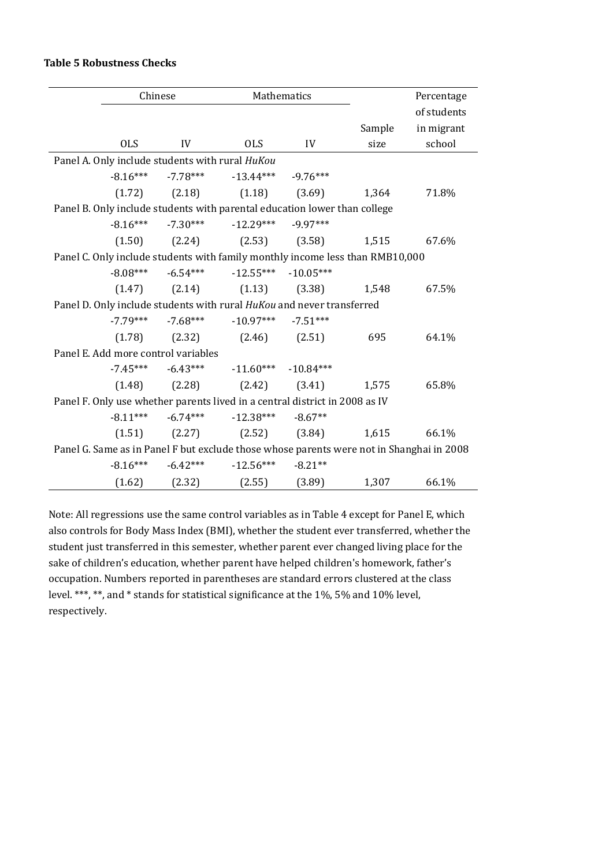#### **Table 5 Robustness Checks**

|                                                                                          | Chinese                           | Mathematics                                          |            |        | Percentage  |
|------------------------------------------------------------------------------------------|-----------------------------------|------------------------------------------------------|------------|--------|-------------|
|                                                                                          |                                   |                                                      |            |        | of students |
|                                                                                          |                                   |                                                      |            | Sample | in migrant  |
| <b>OLS</b>                                                                               | IV                                | <b>OLS</b>                                           | IV         | size   | school      |
| Panel A. Only include students with rural HuKou                                          |                                   |                                                      |            |        |             |
|                                                                                          |                                   | $-8.16***$ $-7.78***$ $-13.44***$ $-9.76***$         |            |        |             |
|                                                                                          |                                   | $(1.72)$ $(2.18)$ $(1.18)$ $(3.69)$                  |            | 1,364  | 71.8%       |
| Panel B. Only include students with parental education lower than college                |                                   |                                                      |            |        |             |
|                                                                                          |                                   | $-8.16***$ $-7.30***$ $-12.29***$                    | $-9.97***$ |        |             |
|                                                                                          |                                   | $(1.50)$ $(2.24)$ $(2.53)$ $(3.58)$ $1,515$          |            |        | 67.6%       |
| Panel C. Only include students with family monthly income less than RMB10,000            |                                   |                                                      |            |        |             |
|                                                                                          |                                   | $-8.08***$ $-6.54***$ $-12.55***$ $-10.05***$        |            |        |             |
|                                                                                          |                                   | $(1.47)$ $(2.14)$ $(1.13)$ $(3.38)$ $1,548$          |            |        | 67.5%       |
| Panel D. Only include students with rural HuKou and never transferred                    |                                   |                                                      |            |        |             |
|                                                                                          |                                   | $-7.79***$ $-7.68***$ $-10.97***$ $-7.51***$         |            |        |             |
|                                                                                          |                                   | $(1.78)$ $(2.32)$ $(2.46)$ $(2.51)$                  |            | 695    | 64.1%       |
| Panel E. Add more control variables                                                      |                                   |                                                      |            |        |             |
|                                                                                          |                                   | $-7.45***$ $-6.43***$ $-11.60***$ $-10.84***$        |            |        |             |
|                                                                                          |                                   | $(1.48)$ $(2.28)$ $(2.42)$ $(3.41)$ $1,575$          |            |        | 65.8%       |
| Panel F. Only use whether parents lived in a central district in 2008 as IV              |                                   |                                                      |            |        |             |
|                                                                                          |                                   | $-8.11***$ $-6.74***$ $-12.38***$ $-8.67**$          |            |        |             |
|                                                                                          |                                   | $(1.51)$ $(2.27)$ $(2.52)$ $(3.84)$ $1,615$          |            |        | 66.1%       |
| Panel G. Same as in Panel F but exclude those whose parents were not in Shanghai in 2008 |                                   |                                                      |            |        |             |
|                                                                                          | $-8.16***$ $-6.42***$ $-12.56***$ |                                                      | $-8.21**$  |        |             |
|                                                                                          |                                   | $(1.62)$ $(2.32)$ $(2.55)$ $(3.89)$ $1,307$ $66.1\%$ |            |        |             |

Note: All regressions use the same control variables as in Table 4 except for Panel E, which also controls for Body Mass Index (BMI), whether the student ever transferred, whether the student just transferred in this semester, whether parent ever changed living place for the sake of children's education, whether parent have helped children's homework, father's occupation. Numbers reported in parentheses are standard errors clustered at the class level. \*\*\*, \*\*, and \* stands for statistical significance at the 1%, 5% and 10% level, respectively.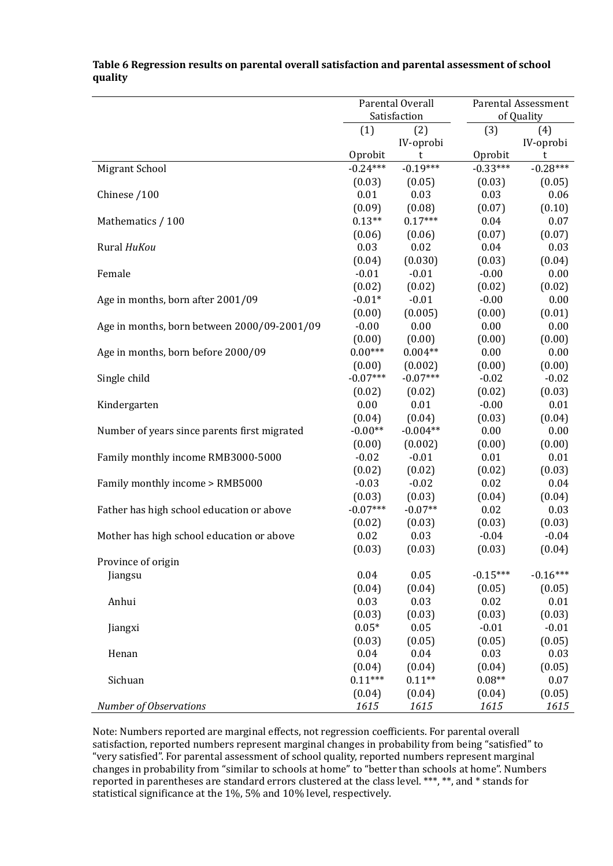|                                              | Parental Overall<br>Satisfaction |                       | <b>Parental Assessment</b><br>of Quality |                   |
|----------------------------------------------|----------------------------------|-----------------------|------------------------------------------|-------------------|
|                                              | (1)                              | (2)                   | (3)                                      | (4)               |
|                                              | Oprobit                          | IV-oprobi<br>t        | Oprobit                                  | IV-oprobi<br>t    |
| Migrant School                               | $-0.24***$                       | $-0.19***$            | $-0.33***$                               | $-0.28***$        |
|                                              | (0.03)                           | (0.05)                | (0.03)                                   | (0.05)            |
| Chinese /100                                 | 0.01                             | 0.03                  | 0.03                                     | 0.06              |
|                                              | (0.09)                           | (0.08)                | (0.07)                                   | (0.10)            |
| Mathematics / 100                            | $0.13**$                         | $0.17***$             | 0.04                                     | 0.07              |
|                                              | (0.06)                           | (0.06)                | (0.07)                                   | (0.07)            |
| Rural HuKou                                  | 0.03<br>(0.04)                   | 0.02<br>(0.030)       | 0.04<br>(0.03)                           | 0.03<br>(0.04)    |
| Female                                       | $-0.01$                          | $-0.01$               | $-0.00$                                  | 0.00              |
|                                              | (0.02)                           | (0.02)                | (0.02)                                   | (0.02)            |
| Age in months, born after 2001/09            | $-0.01*$                         | $-0.01$               | $-0.00$                                  | 0.00              |
|                                              | (0.00)                           | (0.005)               | (0.00)                                   | (0.01)            |
| Age in months, born between 2000/09-2001/09  | $-0.00$                          | 0.00                  | 0.00                                     | 0.00              |
|                                              | (0.00)                           | (0.00)                | (0.00)                                   | (0.00)            |
| Age in months, born before 2000/09           | $0.00***$                        | $0.004**$             | 0.00                                     | 0.00              |
| Single child                                 | (0.00)<br>$-0.07***$             | (0.002)<br>$-0.07***$ | (0.00)<br>$-0.02$                        | (0.00)<br>$-0.02$ |
|                                              | (0.02)                           | (0.02)                | (0.02)                                   | (0.03)            |
| Kindergarten                                 | 0.00                             | 0.01                  | $-0.00$                                  | 0.01              |
|                                              | (0.04)                           | (0.04)                | (0.03)                                   | (0.04)            |
| Number of years since parents first migrated | $-0.00**$                        | $-0.004**$            | 0.00                                     | 0.00              |
|                                              | (0.00)                           | (0.002)               | (0.00)                                   | (0.00)            |
| Family monthly income RMB3000-5000           | $-0.02$                          | $-0.01$               | 0.01                                     | 0.01              |
|                                              | (0.02)                           | (0.02)<br>$-0.02$     | (0.02)<br>0.02                           | (0.03)            |
| Family monthly income > RMB5000              | $-0.03$<br>(0.03)                | (0.03)                | (0.04)                                   | 0.04<br>(0.04)    |
| Father has high school education or above    | $-0.07***$                       | $-0.07**$             | 0.02                                     | 0.03              |
|                                              | (0.02)                           | (0.03)                | (0.03)                                   | (0.03)            |
| Mother has high school education or above    | 0.02                             | 0.03                  | $-0.04$                                  | $-0.04$           |
|                                              | (0.03)                           | (0.03)                | (0.03)                                   | (0.04)            |
| Province of origin                           |                                  |                       |                                          |                   |
| Jiangsu                                      | 0.04                             | 0.05                  | $-0.15***$                               | $-0.16***$        |
|                                              | (0.04)<br>0.03                   | (0.04)<br>0.03        | (0.05)<br>0.02                           | (0.05)<br>0.01    |
| Anhui                                        | (0.03)                           | (0.03)                | (0.03)                                   | (0.03)            |
| Jiangxi                                      | $0.05*$                          | 0.05                  | $-0.01$                                  | $-0.01$           |
|                                              | (0.03)                           | (0.05)                | (0.05)                                   | (0.05)            |
| Henan                                        | 0.04                             | 0.04                  | 0.03                                     | 0.03              |
|                                              | (0.04)                           | (0.04)                | (0.04)                                   | (0.05)            |
| Sichuan                                      | $0.11***$                        | $0.11**$              | $0.08**$                                 | 0.07              |
|                                              | (0.04)                           | (0.04)                | (0.04)                                   | (0.05)            |
| Number of Observations                       | 1615                             | 1615                  | 1615                                     | 1615              |

**Table 6 Regression results on parental overall satisfaction and parental assessment of school quality**

Note: Numbers reported are marginal effects, not regression coefficients. For parental overall satisfaction, reported numbers represent marginal changes in probability from being "satisfied" to "very satisfied". For parental assessment of school quality, reported numbers represent marginal changes in probability from "similar to schools at home" to "better than schools at home". Numbers reported in parentheses are standard errors clustered at the class level. \*\*\*, \*\*, and \* stands for statistical significance at the 1%, 5% and 10% level, respectively.